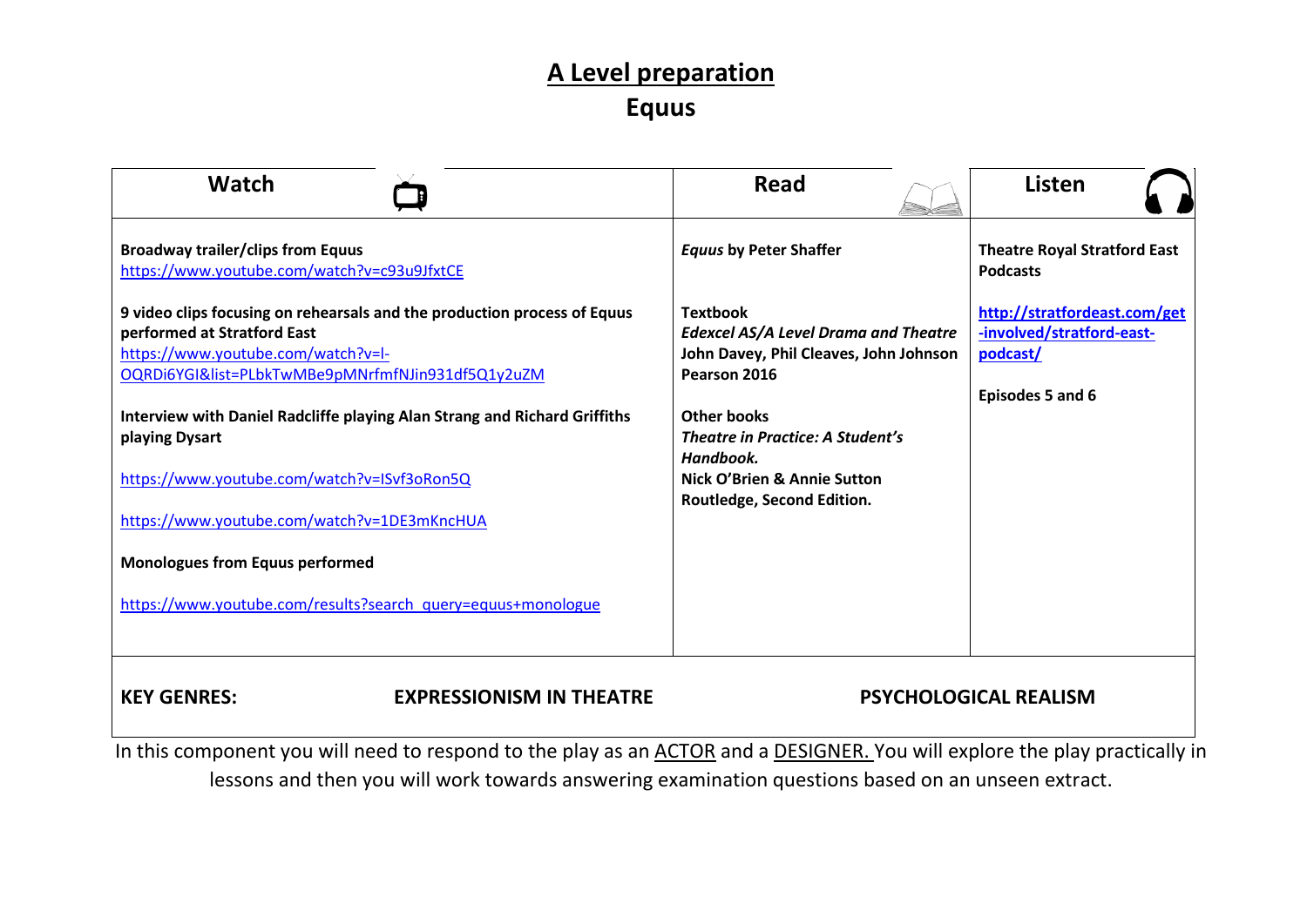## **A Level preparation Equus**

| <b>Watch</b>                                                                                                                                                                                       | Read                                                                                                                     | <b>Listen</b>                                                                             |
|----------------------------------------------------------------------------------------------------------------------------------------------------------------------------------------------------|--------------------------------------------------------------------------------------------------------------------------|-------------------------------------------------------------------------------------------|
| <b>Broadway trailer/clips from Equus</b><br>https://www.youtube.com/watch?v=c93u9JfxtCE                                                                                                            | <b>Equus by Peter Shaffer</b>                                                                                            | <b>Theatre Royal Stratford East</b><br><b>Podcasts</b>                                    |
| 9 video clips focusing on rehearsals and the production process of Equus<br>performed at Stratford East<br>https://www.youtube.com/watch?v=l-<br>OQRDi6YGI&list=PLbkTwMBe9pMNrfmfNJin931df5Q1y2uZM | <b>Textbook</b><br><b>Edexcel AS/A Level Drama and Theatre</b><br>John Davey, Phil Cleaves, John Johnson<br>Pearson 2016 | http://stratfordeast.com/get<br>-involved/stratford-east-<br>podcast/<br>Episodes 5 and 6 |
| Interview with Daniel Radcliffe playing Alan Strang and Richard Griffiths<br>playing Dysart                                                                                                        | <b>Other books</b><br><b>Theatre in Practice: A Student's</b><br>Handbook.                                               |                                                                                           |
| https://www.youtube.com/watch?v=ISvf3oRon5Q<br>https://www.youtube.com/watch?v=1DE3mKncHUA                                                                                                         | Nick O'Brien & Annie Sutton<br>Routledge, Second Edition.                                                                |                                                                                           |
| <b>Monologues from Equus performed</b>                                                                                                                                                             |                                                                                                                          |                                                                                           |
| https://www.youtube.com/results?search_query=equus+monologue                                                                                                                                       |                                                                                                                          |                                                                                           |
| <b>EXPRESSIONISM IN THEATRE</b><br><b>KEY GENRES:</b>                                                                                                                                              |                                                                                                                          | <b>PSYCHOLOGICAL REALISM</b>                                                              |

In this component you will need to respond to the play as an ACTOR and a DESIGNER. You will explore the play practically in lessons and then you will work towards answering examination questions based on an unseen extract.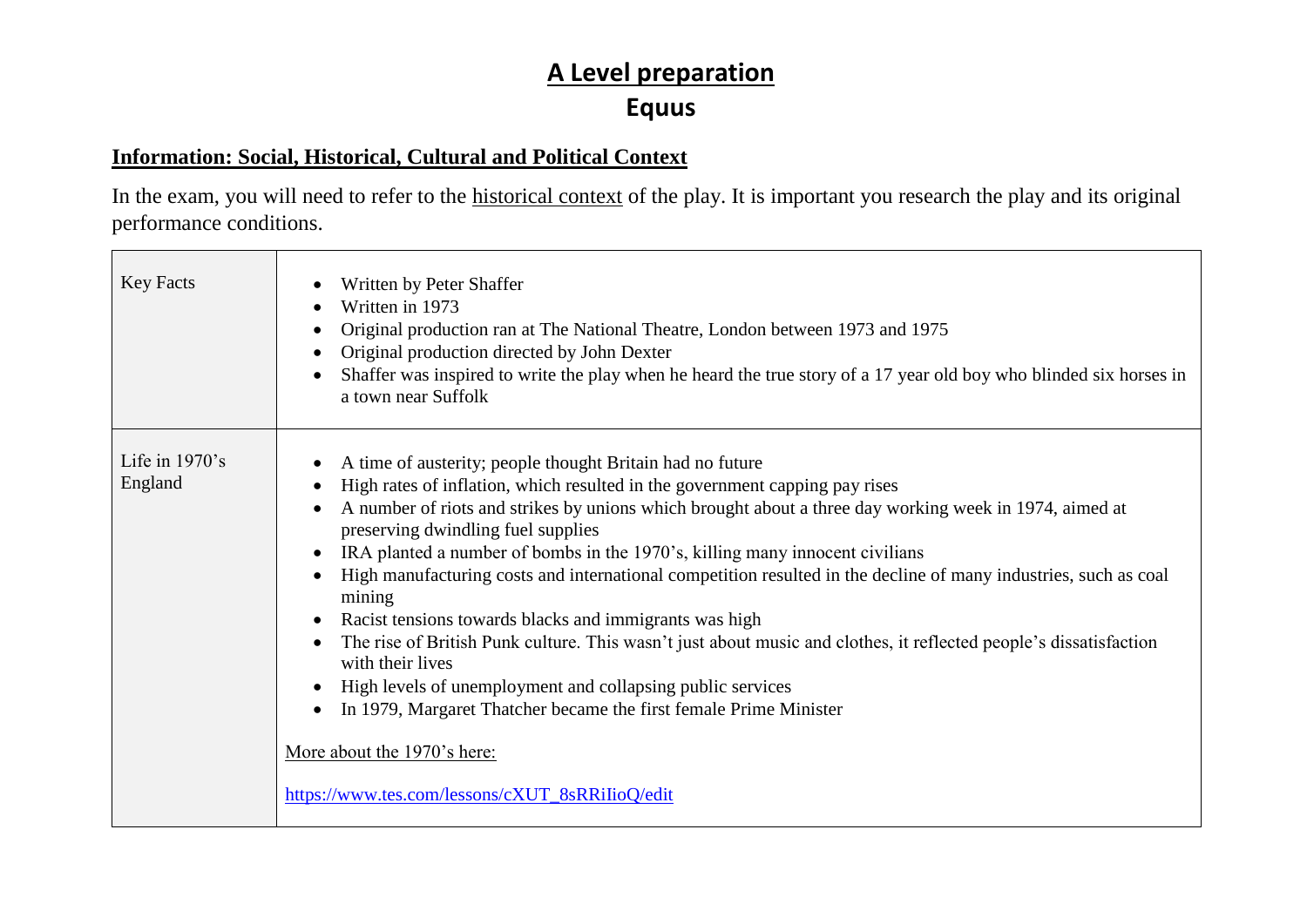## **A Level preparation Equus**

#### **Information: Social, Historical, Cultural and Political Context**

In the exam, you will need to refer to the historical context of the play. It is important you research the play and its original performance conditions.

| <b>Key Facts</b>             | Written by Peter Shaffer<br>Written in 1973<br>Original production ran at The National Theatre, London between 1973 and 1975<br>Original production directed by John Dexter<br>Shaffer was inspired to write the play when he heard the true story of a 17 year old boy who blinded six horses in<br>a town near Suffolk                                                                                                                                                                                                                                                                                                                                                                                                                                                                                                                                                                                                      |
|------------------------------|-------------------------------------------------------------------------------------------------------------------------------------------------------------------------------------------------------------------------------------------------------------------------------------------------------------------------------------------------------------------------------------------------------------------------------------------------------------------------------------------------------------------------------------------------------------------------------------------------------------------------------------------------------------------------------------------------------------------------------------------------------------------------------------------------------------------------------------------------------------------------------------------------------------------------------|
| Life in $1970$ 's<br>England | A time of austerity; people thought Britain had no future<br>High rates of inflation, which resulted in the government capping pay rises<br>A number of riots and strikes by unions which brought about a three day working week in 1974, aimed at<br>preserving dwindling fuel supplies<br>IRA planted a number of bombs in the 1970's, killing many innocent civilians<br>High manufacturing costs and international competition resulted in the decline of many industries, such as coal<br>mining<br>Racist tensions towards blacks and immigrants was high<br>The rise of British Punk culture. This wasn't just about music and clothes, it reflected people's dissatisfaction<br>with their lives<br>High levels of unemployment and collapsing public services<br>In 1979, Margaret Thatcher became the first female Prime Minister<br>More about the 1970's here:<br>https://www.tes.com/lessons/cXUT_8sRRiIioQ/edit |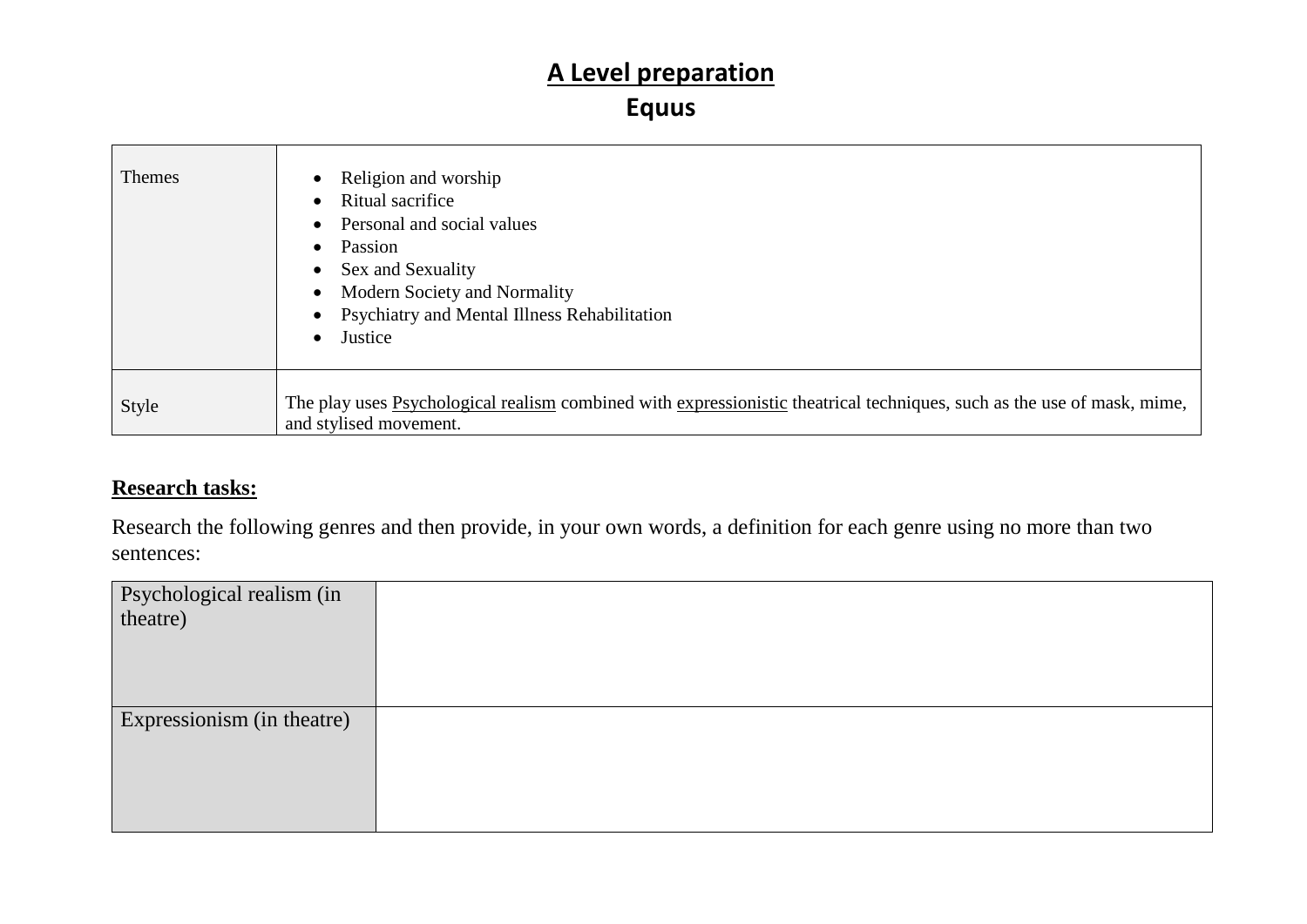# **A Level preparation**

### **Equus**

| Themes | Religion and worship<br>Ritual sacrifice<br>Personal and social values<br>Passion<br>Sex and Sexuality<br>Modern Society and Normality<br>Psychiatry and Mental Illness Rehabilitation<br>Justice |
|--------|---------------------------------------------------------------------------------------------------------------------------------------------------------------------------------------------------|
| Style  | The play uses Psychological realism combined with expressionistic theatrical techniques, such as the use of mask, mime,<br>and stylised movement.                                                 |

### **Research tasks:**

Research the following genres and then provide, in your own words, a definition for each genre using no more than two sentences:

| Psychological realism (in theatre) |  |
|------------------------------------|--|
|                                    |  |
|                                    |  |
|                                    |  |
|                                    |  |
| Expressionism (in theatre)         |  |
|                                    |  |
|                                    |  |
|                                    |  |
|                                    |  |